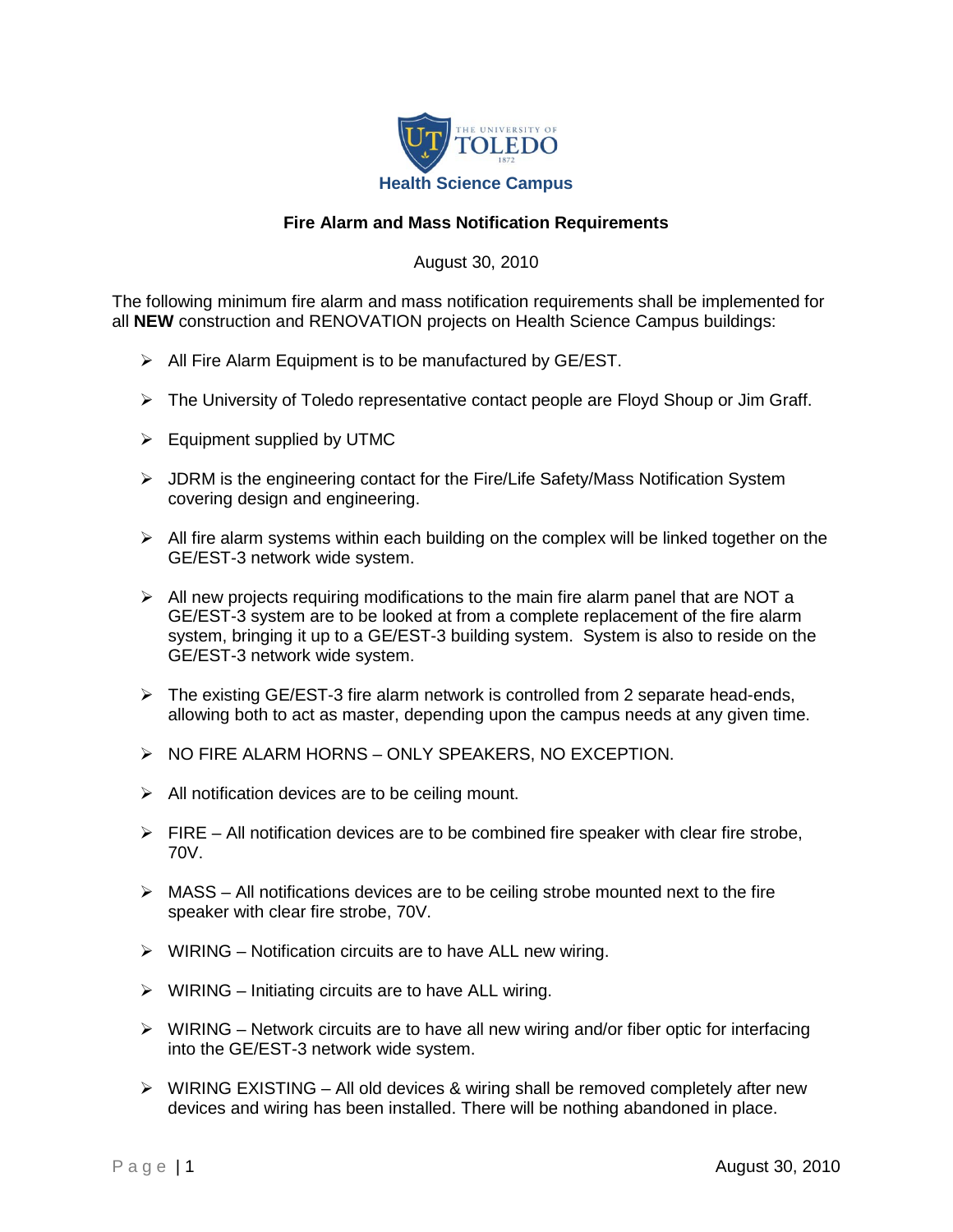

## **Fire Alarm and Mass Notification Requirements**

August 30, 2010

The following minimum fire alarm and mass notification requirements shall be implemented for all **NEW** construction and RENOVATION projects on Health Science Campus buildings:

- $\triangleright$  All Fire Alarm Equipment is to be manufactured by GE/EST.
- $\triangleright$  The University of Toledo representative contact people are Floyd Shoup or Jim Graff.
- $\triangleright$  Equipment supplied by UTMC
- JDRM is the engineering contact for the Fire/Life Safety/Mass Notification System covering design and engineering.
- $\triangleright$  All fire alarm systems within each building on the complex will be linked together on the GE/EST-3 network wide system.
- $\triangleright$  All new projects requiring modifications to the main fire alarm panel that are NOT a GE/EST-3 system are to be looked at from a complete replacement of the fire alarm system, bringing it up to a GE/EST-3 building system. System is also to reside on the GE/EST-3 network wide system.
- $\triangleright$  The existing GE/EST-3 fire alarm network is controlled from 2 separate head-ends, allowing both to act as master, depending upon the campus needs at any given time.
- $\triangleright$  NO FIRE ALARM HORNS ONLY SPEAKERS, NO EXCEPTION.
- $\triangleright$  All notification devices are to be ceiling mount.
- $\triangleright$  FIRE All notification devices are to be combined fire speaker with clear fire strobe, 70V.
- $\triangleright$  MASS All notifications devices are to be ceiling strobe mounted next to the fire speaker with clear fire strobe, 70V.
- $\triangleright$  WIRING Notification circuits are to have ALL new wiring.
- $\triangleright$  WIRING Initiating circuits are to have ALL wiring.
- $\triangleright$  WIRING Network circuits are to have all new wiring and/or fiber optic for interfacing into the GE/EST-3 network wide system.
- $\triangleright$  WIRING EXISTING All old devices & wiring shall be removed completely after new devices and wiring has been installed. There will be nothing abandoned in place.